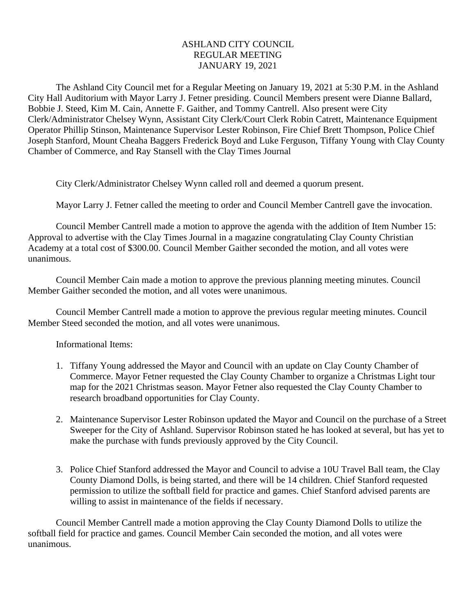## ASHLAND CITY COUNCIL REGULAR MEETING JANUARY 19, 2021

The Ashland City Council met for a Regular Meeting on January 19, 2021 at 5:30 P.M. in the Ashland City Hall Auditorium with Mayor Larry J. Fetner presiding. Council Members present were Dianne Ballard, Bobbie J. Steed, Kim M. Cain, Annette F. Gaither, and Tommy Cantrell. Also present were City Clerk/Administrator Chelsey Wynn, Assistant City Clerk/Court Clerk Robin Catrett, Maintenance Equipment Operator Phillip Stinson, Maintenance Supervisor Lester Robinson, Fire Chief Brett Thompson, Police Chief Joseph Stanford, Mount Cheaha Baggers Frederick Boyd and Luke Ferguson, Tiffany Young with Clay County Chamber of Commerce, and Ray Stansell with the Clay Times Journal

City Clerk/Administrator Chelsey Wynn called roll and deemed a quorum present.

Mayor Larry J. Fetner called the meeting to order and Council Member Cantrell gave the invocation.

Council Member Cantrell made a motion to approve the agenda with the addition of Item Number 15: Approval to advertise with the Clay Times Journal in a magazine congratulating Clay County Christian Academy at a total cost of \$300.00. Council Member Gaither seconded the motion, and all votes were unanimous.

Council Member Cain made a motion to approve the previous planning meeting minutes. Council Member Gaither seconded the motion, and all votes were unanimous.

Council Member Cantrell made a motion to approve the previous regular meeting minutes. Council Member Steed seconded the motion, and all votes were unanimous.

Informational Items:

- 1. Tiffany Young addressed the Mayor and Council with an update on Clay County Chamber of Commerce. Mayor Fetner requested the Clay County Chamber to organize a Christmas Light tour map for the 2021 Christmas season. Mayor Fetner also requested the Clay County Chamber to research broadband opportunities for Clay County.
- 2. Maintenance Supervisor Lester Robinson updated the Mayor and Council on the purchase of a Street Sweeper for the City of Ashland. Supervisor Robinson stated he has looked at several, but has yet to make the purchase with funds previously approved by the City Council.
- 3. Police Chief Stanford addressed the Mayor and Council to advise a 10U Travel Ball team, the Clay County Diamond Dolls, is being started, and there will be 14 children. Chief Stanford requested permission to utilize the softball field for practice and games. Chief Stanford advised parents are willing to assist in maintenance of the fields if necessary.

Council Member Cantrell made a motion approving the Clay County Diamond Dolls to utilize the softball field for practice and games. Council Member Cain seconded the motion, and all votes were unanimous.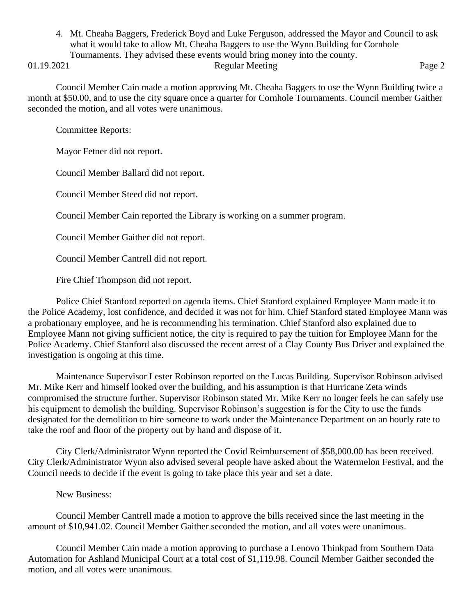4. Mt. Cheaha Baggers, Frederick Boyd and Luke Ferguson, addressed the Mayor and Council to ask what it would take to allow Mt. Cheaha Baggers to use the Wynn Building for Cornhole Tournaments. They advised these events would bring money into the county.

## 01.19.2021 Regular Meeting Page 2

Council Member Cain made a motion approving Mt. Cheaha Baggers to use the Wynn Building twice a month at \$50.00, and to use the city square once a quarter for Cornhole Tournaments. Council member Gaither seconded the motion, and all votes were unanimous.

Committee Reports:

Mayor Fetner did not report.

Council Member Ballard did not report.

Council Member Steed did not report.

Council Member Cain reported the Library is working on a summer program.

Council Member Gaither did not report.

Council Member Cantrell did not report.

Fire Chief Thompson did not report.

Police Chief Stanford reported on agenda items. Chief Stanford explained Employee Mann made it to the Police Academy, lost confidence, and decided it was not for him. Chief Stanford stated Employee Mann was a probationary employee, and he is recommending his termination. Chief Stanford also explained due to Employee Mann not giving sufficient notice, the city is required to pay the tuition for Employee Mann for the Police Academy. Chief Stanford also discussed the recent arrest of a Clay County Bus Driver and explained the investigation is ongoing at this time.

Maintenance Supervisor Lester Robinson reported on the Lucas Building. Supervisor Robinson advised Mr. Mike Kerr and himself looked over the building, and his assumption is that Hurricane Zeta winds compromised the structure further. Supervisor Robinson stated Mr. Mike Kerr no longer feels he can safely use his equipment to demolish the building. Supervisor Robinson's suggestion is for the City to use the funds designated for the demolition to hire someone to work under the Maintenance Department on an hourly rate to take the roof and floor of the property out by hand and dispose of it.

City Clerk/Administrator Wynn reported the Covid Reimbursement of \$58,000.00 has been received. City Clerk/Administrator Wynn also advised several people have asked about the Watermelon Festival, and the Council needs to decide if the event is going to take place this year and set a date.

New Business:

Council Member Cantrell made a motion to approve the bills received since the last meeting in the amount of \$10,941.02. Council Member Gaither seconded the motion, and all votes were unanimous.

Council Member Cain made a motion approving to purchase a Lenovo Thinkpad from Southern Data Automation for Ashland Municipal Court at a total cost of \$1,119.98. Council Member Gaither seconded the motion, and all votes were unanimous.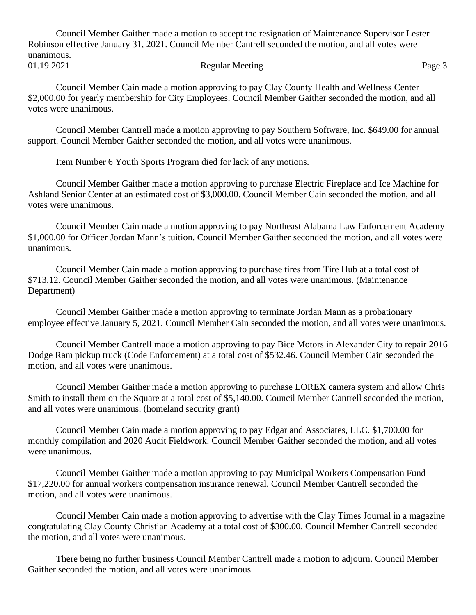Council Member Gaither made a motion to accept the resignation of Maintenance Supervisor Lester Robinson effective January 31, 2021. Council Member Cantrell seconded the motion, and all votes were unanimous. 01.19.2021 Regular Meeting Page 3

Council Member Cain made a motion approving to pay Clay County Health and Wellness Center \$2,000.00 for yearly membership for City Employees. Council Member Gaither seconded the motion, and all votes were unanimous.

Council Member Cantrell made a motion approving to pay Southern Software, Inc. \$649.00 for annual support. Council Member Gaither seconded the motion, and all votes were unanimous.

Item Number 6 Youth Sports Program died for lack of any motions.

Council Member Gaither made a motion approving to purchase Electric Fireplace and Ice Machine for Ashland Senior Center at an estimated cost of \$3,000.00. Council Member Cain seconded the motion, and all votes were unanimous.

Council Member Cain made a motion approving to pay Northeast Alabama Law Enforcement Academy \$1,000.00 for Officer Jordan Mann's tuition. Council Member Gaither seconded the motion, and all votes were unanimous.

Council Member Cain made a motion approving to purchase tires from Tire Hub at a total cost of \$713.12. Council Member Gaither seconded the motion, and all votes were unanimous. (Maintenance Department)

Council Member Gaither made a motion approving to terminate Jordan Mann as a probationary employee effective January 5, 2021. Council Member Cain seconded the motion, and all votes were unanimous.

Council Member Cantrell made a motion approving to pay Bice Motors in Alexander City to repair 2016 Dodge Ram pickup truck (Code Enforcement) at a total cost of \$532.46. Council Member Cain seconded the motion, and all votes were unanimous.

Council Member Gaither made a motion approving to purchase LOREX camera system and allow Chris Smith to install them on the Square at a total cost of \$5,140.00. Council Member Cantrell seconded the motion, and all votes were unanimous. (homeland security grant)

Council Member Cain made a motion approving to pay Edgar and Associates, LLC. \$1,700.00 for monthly compilation and 2020 Audit Fieldwork. Council Member Gaither seconded the motion, and all votes were unanimous.

Council Member Gaither made a motion approving to pay Municipal Workers Compensation Fund \$17,220.00 for annual workers compensation insurance renewal. Council Member Cantrell seconded the motion, and all votes were unanimous.

Council Member Cain made a motion approving to advertise with the Clay Times Journal in a magazine congratulating Clay County Christian Academy at a total cost of \$300.00. Council Member Cantrell seconded the motion, and all votes were unanimous.

There being no further business Council Member Cantrell made a motion to adjourn. Council Member Gaither seconded the motion, and all votes were unanimous.